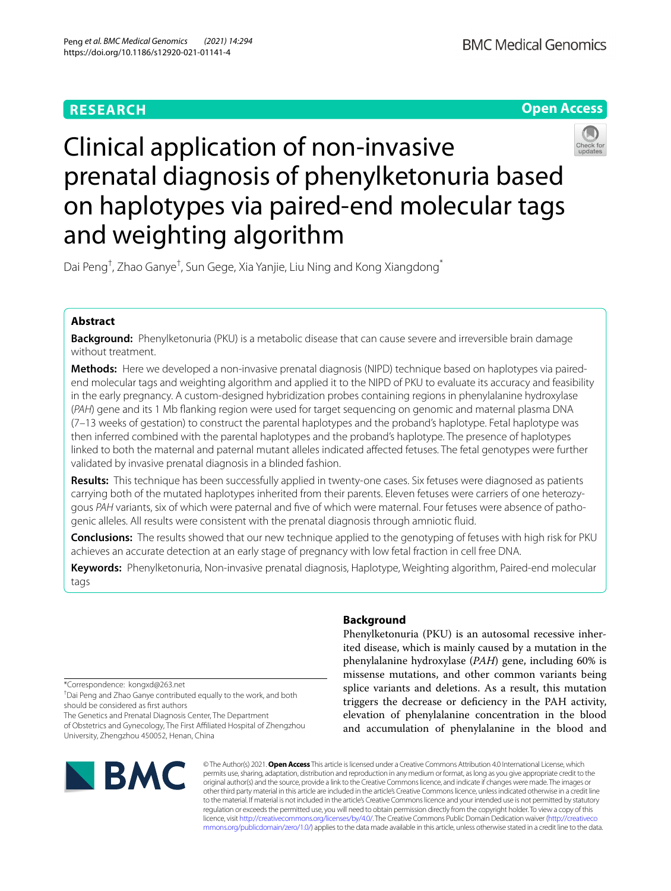# **RESEARCH**





# Clinical application of non-invasive prenatal diagnosis of phenylketonuria based on haplotypes via paired-end molecular tags and weighting algorithm

Dai Peng<sup>†</sup>, Zhao Ganye<sup>†</sup>, Sun Gege, Xia Yanjie, Liu Ning and Kong Xiangdong<sup>\*</sup>

## **Abstract**

**Background:** Phenylketonuria (PKU) is a metabolic disease that can cause severe and irreversible brain damage without treatment.

**Methods:** Here we developed a non-invasive prenatal diagnosis (NIPD) technique based on haplotypes via pairedend molecular tags and weighting algorithm and applied it to the NIPD of PKU to evaluate its accuracy and feasibility in the early pregnancy. A custom-designed hybridization probes containing regions in phenylalanine hydroxylase (*PAH*) gene and its 1 Mb fanking region were used for target sequencing on genomic and maternal plasma DNA (7–13 weeks of gestation) to construct the parental haplotypes and the proband's haplotype. Fetal haplotype was then inferred combined with the parental haplotypes and the proband's haplotype. The presence of haplotypes linked to both the maternal and paternal mutant alleles indicated afected fetuses. The fetal genotypes were further validated by invasive prenatal diagnosis in a blinded fashion.

**Results:** This technique has been successfully applied in twenty-one cases. Six fetuses were diagnosed as patients carrying both of the mutated haplotypes inherited from their parents. Eleven fetuses were carriers of one heterozygous *PAH* variants, six of which were paternal and fve of which were maternal. Four fetuses were absence of pathogenic alleles. All results were consistent with the prenatal diagnosis through amniotic fuid.

**Conclusions:** The results showed that our new technique applied to the genotyping of fetuses with high risk for PKU achieves an accurate detection at an early stage of pregnancy with low fetal fraction in cell free DNA.

**Keywords:** Phenylketonuria, Non-invasive prenatal diagnosis, Haplotype, Weighting algorithm, Paired-end molecular tags

\*Correspondence: kongxd@263.net

† Dai Peng and Zhao Ganye contributed equally to the work, and both

should be considered as frst authors

The Genetics and Prenatal Diagnosis Center, The Department of Obstetrics and Gynecology, The First Afliated Hospital of Zhengzhou University, Zhengzhou 450052, Henan, China

# **BMC**

# **Background**

Phenylketonuria (PKU) is an autosomal recessive inherited disease, which is mainly caused by a mutation in the phenylalanine hydroxylase (*PAH*) gene, including 60% is missense mutations, and other common variants being splice variants and deletions. As a result, this mutation triggers the decrease or defciency in the PAH activity, elevation of phenylalanine concentration in the blood and accumulation of phenylalanine in the blood and

© The Author(s) 2021. **Open Access** This article is licensed under a Creative Commons Attribution 4.0 International License, which permits use, sharing, adaptation, distribution and reproduction in any medium or format, as long as you give appropriate credit to the original author(s) and the source, provide a link to the Creative Commons licence, and indicate if changes were made. The images or other third party material in this article are included in the article's Creative Commons licence, unless indicated otherwise in a credit line to the material. If material is not included in the article's Creative Commons licence and your intended use is not permitted by statutory regulation or exceeds the permitted use, you will need to obtain permission directly from the copyright holder. To view a copy of this licence, visit [http://creativecommons.org/licenses/by/4.0/.](http://creativecommons.org/licenses/by/4.0/) The Creative Commons Public Domain Dedication waiver ([http://creativeco](http://creativecommons.org/publicdomain/zero/1.0/) [mmons.org/publicdomain/zero/1.0/](http://creativecommons.org/publicdomain/zero/1.0/)) applies to the data made available in this article, unless otherwise stated in a credit line to the data.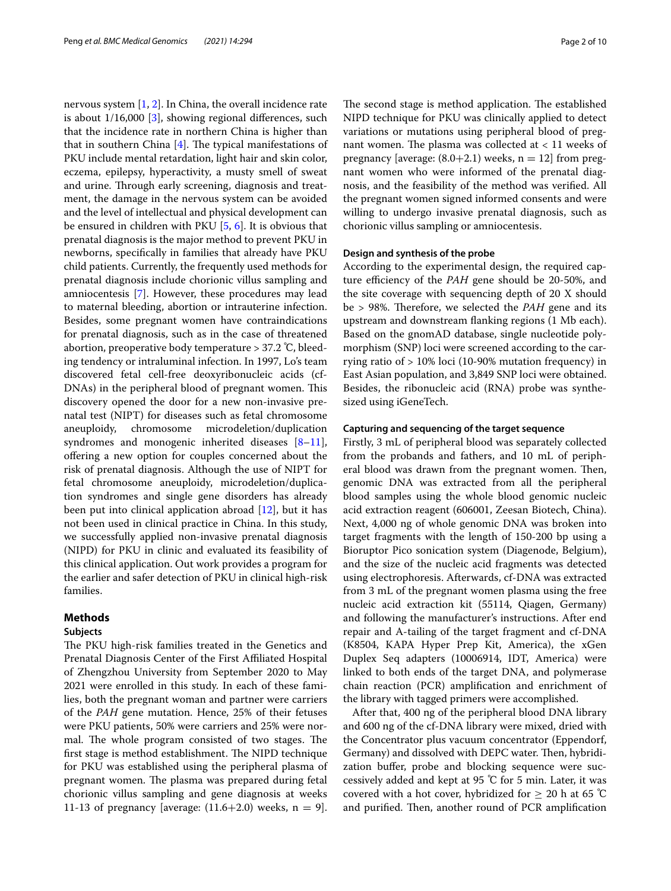nervous system [\[1](#page-8-0), [2\]](#page-8-1). In China, the overall incidence rate is about  $1/16,000$  [[3](#page-8-2)], showing regional differences, such that the incidence rate in northern China is higher than that in southern China  $[4]$  $[4]$  $[4]$ . The typical manifestations of PKU include mental retardation, light hair and skin color, eczema, epilepsy, hyperactivity, a musty smell of sweat and urine. Through early screening, diagnosis and treatment, the damage in the nervous system can be avoided and the level of intellectual and physical development can be ensured in children with PKU [\[5](#page-8-4), [6](#page-8-5)]. It is obvious that prenatal diagnosis is the major method to prevent PKU in newborns, specifcally in families that already have PKU child patients. Currently, the frequently used methods for prenatal diagnosis include chorionic villus sampling and amniocentesis [[7\]](#page-8-6). However, these procedures may lead to maternal bleeding, abortion or intrauterine infection. Besides, some pregnant women have contraindications for prenatal diagnosis, such as in the case of threatened abortion, preoperative body temperature > 37.2 ℃, bleeding tendency or intraluminal infection. In 1997, Lo's team discovered fetal cell-free deoxyribonucleic acids (cf-DNAs) in the peripheral blood of pregnant women. This discovery opened the door for a new non-invasive prenatal test (NIPT) for diseases such as fetal chromosome aneuploidy, chromosome microdeletion/duplication syndromes and monogenic inherited diseases  $[8-11]$  $[8-11]$ , ofering a new option for couples concerned about the risk of prenatal diagnosis. Although the use of NIPT for fetal chromosome aneuploidy, microdeletion/duplication syndromes and single gene disorders has already been put into clinical application abroad [\[12](#page-8-9)], but it has not been used in clinical practice in China. In this study, we successfully applied non-invasive prenatal diagnosis (NIPD) for PKU in clinic and evaluated its feasibility of this clinical application. Out work provides a program for the earlier and safer detection of PKU in clinical high-risk families.

#### **Methods**

#### **Subjects**

The PKU high-risk families treated in the Genetics and Prenatal Diagnosis Center of the First Afliated Hospital of Zhengzhou University from September 2020 to May 2021 were enrolled in this study. In each of these families, both the pregnant woman and partner were carriers of the *PAH* gene mutation. Hence, 25% of their fetuses were PKU patients, 50% were carriers and 25% were normal. The whole program consisted of two stages. The first stage is method establishment. The NIPD technique for PKU was established using the peripheral plasma of pregnant women. The plasma was prepared during fetal chorionic villus sampling and gene diagnosis at weeks 11-13 of pregnancy [average:  $(11.6+2.0)$  weeks,  $n = 9$ ].

The second stage is method application. The established NIPD technique for PKU was clinically applied to detect variations or mutations using peripheral blood of pregnant women. The plasma was collected at  $< 11$  weeks of pregnancy [average:  $(8.0+2.1)$  weeks,  $n = 12$ ] from pregnant women who were informed of the prenatal diagnosis, and the feasibility of the method was verifed. All the pregnant women signed informed consents and were willing to undergo invasive prenatal diagnosis, such as chorionic villus sampling or amniocentesis.

#### **Design and synthesis of the probe**

According to the experimental design, the required capture efficiency of the PAH gene should be 20-50%, and the site coverage with sequencing depth of 20 X should be > 98%. Therefore, we selected the *PAH* gene and its upstream and downstream fanking regions (1 Mb each). Based on the gnomAD database, single nucleotide polymorphism (SNP) loci were screened according to the carrying ratio of > 10% loci (10-90% mutation frequency) in East Asian population, and 3,849 SNP loci were obtained. Besides, the ribonucleic acid (RNA) probe was synthesized using iGeneTech.

#### **Capturing and sequencing of the target sequence**

Firstly, 3 mL of peripheral blood was separately collected from the probands and fathers, and 10 mL of peripheral blood was drawn from the pregnant women. Then, genomic DNA was extracted from all the peripheral blood samples using the whole blood genomic nucleic acid extraction reagent (606001, Zeesan Biotech, China). Next, 4,000 ng of whole genomic DNA was broken into target fragments with the length of 150-200 bp using a Bioruptor Pico sonication system (Diagenode, Belgium), and the size of the nucleic acid fragments was detected using electrophoresis. Afterwards, cf-DNA was extracted from 3 mL of the pregnant women plasma using the free nucleic acid extraction kit (55114, Qiagen, Germany) and following the manufacturer's instructions. After end repair and A-tailing of the target fragment and cf-DNA (K8504, KAPA Hyper Prep Kit, America), the xGen Duplex Seq adapters (10006914, IDT, America) were linked to both ends of the target DNA, and polymerase chain reaction (PCR) amplifcation and enrichment of the library with tagged primers were accomplished.

After that, 400 ng of the peripheral blood DNA library and 600 ng of the cf-DNA library were mixed, dried with the Concentrator plus vacuum concentrator (Eppendorf, Germany) and dissolved with DEPC water. Then, hybridization buffer, probe and blocking sequence were successively added and kept at 95 ℃ for 5 min. Later, it was covered with a hot cover, hybridized for  $\geq 20$  h at 65 °C and purified. Then, another round of PCR amplification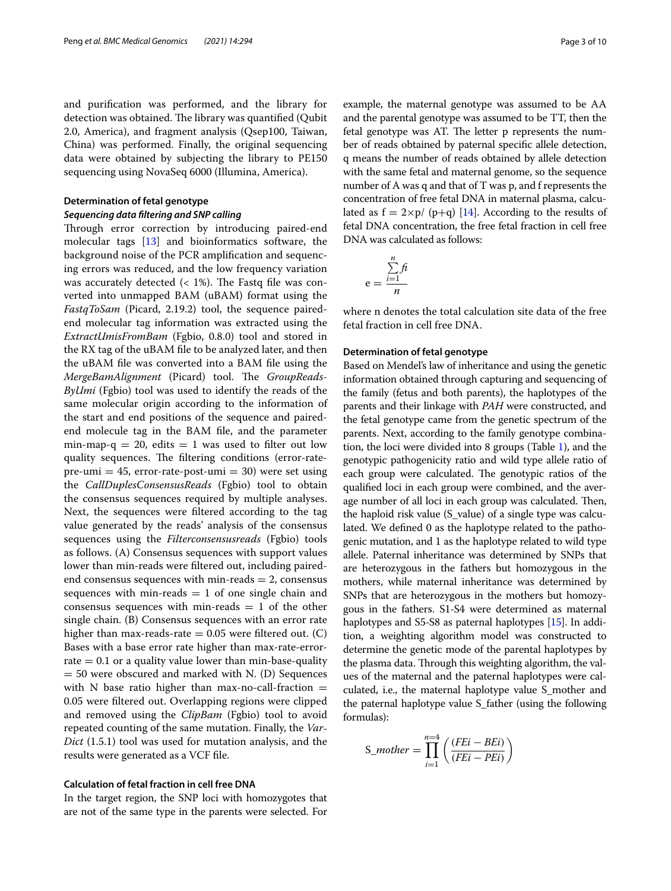and purifcation was performed, and the library for detection was obtained. The library was quantified (Qubit 2.0, America), and fragment analysis (Qsep100, Taiwan, China) was performed. Finally, the original sequencing data were obtained by subjecting the library to PE150 sequencing using NovaSeq 6000 (Illumina, America).

#### **Determination of fetal genotype**

#### *Sequencing data fltering and SNP calling*

Through error correction by introducing paired-end molecular tags [\[13\]](#page-8-10) and bioinformatics software, the background noise of the PCR amplifcation and sequencing errors was reduced, and the low frequency variation was accurately detected  $($  < 1%). The Fastq file was converted into unmapped BAM (uBAM) format using the *FastqToSam* (Picard, 2.19.2) tool, the sequence pairedend molecular tag information was extracted using the *ExtractUmisFromBam* (Fgbio, 0.8.0) tool and stored in the RX tag of the uBAM fle to be analyzed later, and then the uBAM fle was converted into a BAM fle using the *MergeBamAlignment* (Picard) tool. The *GroupReads-ByUmi* (Fgbio) tool was used to identify the reads of the same molecular origin according to the information of the start and end positions of the sequence and pairedend molecule tag in the BAM fle, and the parameter min-map-q = 20, edits = 1 was used to filter out low quality sequences. The filtering conditions (error-ratepre-umi = 45, error-rate-post-umi = 30) were set using the *CallDuplesConsensusReads* (Fgbio) tool to obtain the consensus sequences required by multiple analyses. Next, the sequences were fltered according to the tag value generated by the reads' analysis of the consensus sequences using the *Filterconsensusreads* (Fgbio) tools as follows. (A) Consensus sequences with support values lower than min-reads were fltered out, including pairedend consensus sequences with min-reads  $= 2$ , consensus sequences with min-reads  $= 1$  of one single chain and consensus sequences with min-reads  $= 1$  of the other single chain. (B) Consensus sequences with an error rate higher than max-reads-rate  $= 0.05$  were filtered out. (C) Bases with a base error rate higher than max-rate-errorrate  $= 0.1$  or a quality value lower than min-base-quality  $= 50$  were obscured and marked with N. (D) Sequences with N base ratio higher than max-no-call-fraction  $=$ 0.05 were fltered out. Overlapping regions were clipped and removed using the *ClipBam* (Fgbio) tool to avoid repeated counting of the same mutation. Finally, the *Var-Dict* (1.5.1) tool was used for mutation analysis, and the results were generated as a VCF fle.

#### **Calculation of fetal fraction in cell free DNA**

In the target region, the SNP loci with homozygotes that are not of the same type in the parents were selected. For example, the maternal genotype was assumed to be AA and the parental genotype was assumed to be TT, then the fetal genotype was AT. The letter p represents the number of reads obtained by paternal specifc allele detection, q means the number of reads obtained by allele detection with the same fetal and maternal genome, so the sequence number of A was q and that of T was p, and f represents the concentration of free fetal DNA in maternal plasma, calculated as  $f = 2\times p/(p+q)$  [[14](#page-8-11)]. According to the results of fetal DNA concentration, the free fetal fraction in cell free DNA was calculated as follows:

$$
e = \frac{\sum_{i=1}^{n} ft}{n}
$$

where n denotes the total calculation site data of the free fetal fraction in cell free DNA.

#### **Determination of fetal genotype**

Based on Mendel's law of inheritance and using the genetic information obtained through capturing and sequencing of the family (fetus and both parents), the haplotypes of the parents and their linkage with *PAH* were constructed, and the fetal genotype came from the genetic spectrum of the parents. Next, according to the family genotype combination, the loci were divided into 8 groups (Table [1](#page-3-0)), and the genotypic pathogenicity ratio and wild type allele ratio of each group were calculated. The genotypic ratios of the qualifed loci in each group were combined, and the average number of all loci in each group was calculated. Then, the haploid risk value (S\_value) of a single type was calculated. We defned 0 as the haplotype related to the pathogenic mutation, and 1 as the haplotype related to wild type allele. Paternal inheritance was determined by SNPs that are heterozygous in the fathers but homozygous in the mothers, while maternal inheritance was determined by SNPs that are heterozygous in the mothers but homozygous in the fathers. S1-S4 were determined as maternal haplotypes and S5-S8 as paternal haplotypes [\[15](#page-8-12)]. In addition, a weighting algorithm model was constructed to determine the genetic mode of the parental haplotypes by the plasma data. Through this weighting algorithm, the values of the maternal and the paternal haplotypes were calculated, i.e., the maternal haplotype value S\_mother and the paternal haplotype value S\_father (using the following formulas):

$$
S\_mother = \prod_{i=1}^{n=4} \left( \frac{(FEi - BEi)}{(FEi - PEi)} \right)
$$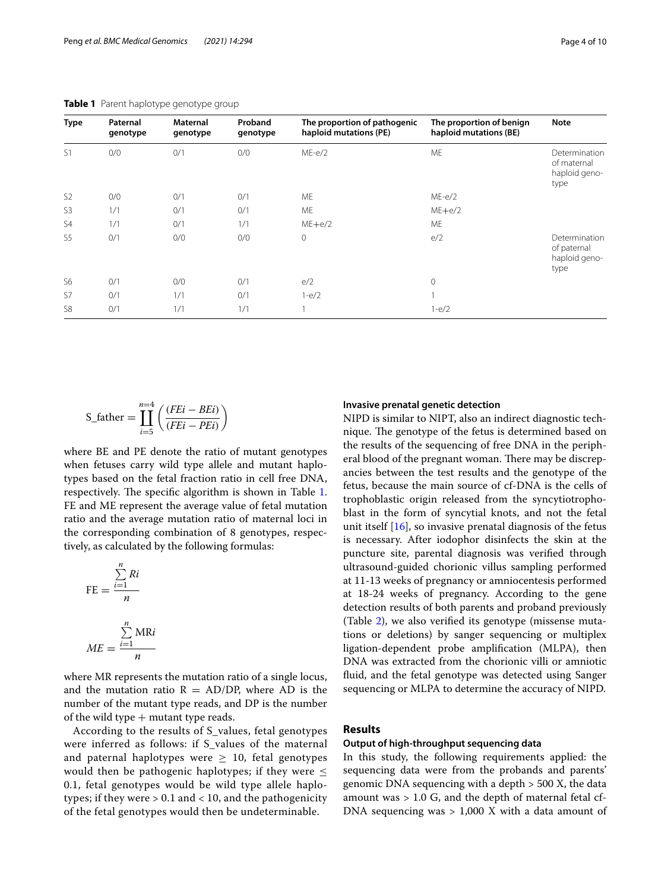| Type           | Paternal<br>genotype | Maternal<br>genotype | Proband<br>genotype | The proportion of pathogenic<br>haploid mutations (PE) | The proportion of benign<br>haploid mutations (BE) | <b>Note</b>                                           |
|----------------|----------------------|----------------------|---------------------|--------------------------------------------------------|----------------------------------------------------|-------------------------------------------------------|
| S1             | 0/0                  | 0/1                  | 0/0                 | $ME-e/2$                                               | ME                                                 | Determination<br>of maternal<br>haploid geno-<br>type |
| S <sub>2</sub> | 0/0                  | 0/1                  | 0/1                 | ME                                                     | $ME-e/2$                                           |                                                       |
| S <sub>3</sub> | 1/1                  | 0/1                  | 0/1                 | <b>ME</b>                                              | $ME + e/2$                                         |                                                       |
| S <sub>4</sub> | 1/1                  | 0/1                  | 1/1                 | $ME+e/2$                                               | ME                                                 |                                                       |
| S <sub>5</sub> | 0/1                  | 0/0                  | 0/0                 | $\mathbf{0}$                                           | e/2                                                | Determination<br>of paternal<br>haploid geno-<br>type |
| S <sub>6</sub> | 0/1                  | 0/0                  | 0/1                 | e/2                                                    | 0                                                  |                                                       |
| S7             | 0/1                  | 1/1                  | 0/1                 | $1-e/2$                                                |                                                    |                                                       |
| S <sub>8</sub> | 0/1                  | 1/1                  | 1/1                 |                                                        | $1-e/2$                                            |                                                       |

<span id="page-3-0"></span>**Table 1** Parent haplotype genotype group

$$
S_{\text{-father}} = \prod_{i=5}^{n=4} \left( \frac{(FEi - BEi)}{(FEi - PEi)} \right)
$$

where BE and PE denote the ratio of mutant genotypes when fetuses carry wild type allele and mutant haplotypes based on the fetal fraction ratio in cell free DNA, respectively. The specific algorithm is shown in Table [1](#page-3-0). FE and ME represent the average value of fetal mutation ratio and the average mutation ratio of maternal loci in the corresponding combination of 8 genotypes, respectively, as calculated by the following formulas:

$$
FE = \frac{\sum_{i=1}^{n} Ri}{n}
$$

$$
ME = \frac{\sum_{i=1}^{n} MRi}{n}
$$

where MR represents the mutation ratio of a single locus, and the mutation ratio  $R = AD/DP$ , where AD is the number of the mutant type reads, and DP is the number of the wild type  $+$  mutant type reads.

According to the results of S\_values, fetal genotypes were inferred as follows: if S\_values of the maternal and paternal haplotypes were  $\geq$  10, fetal genotypes would then be pathogenic haplotypes; if they were  $\leq$ 0.1, fetal genotypes would be wild type allele haplotypes; if they were  $> 0.1$  and  $< 10$ , and the pathogenicity of the fetal genotypes would then be undeterminable.

#### **Invasive prenatal genetic detection**

NIPD is similar to NIPT, also an indirect diagnostic technique. The genotype of the fetus is determined based on the results of the sequencing of free DNA in the peripheral blood of the pregnant woman. There may be discrepancies between the test results and the genotype of the fetus, because the main source of cf-DNA is the cells of trophoblastic origin released from the syncytiotrophoblast in the form of syncytial knots, and not the fetal unit itself [[16\]](#page-8-13), so invasive prenatal diagnosis of the fetus is necessary. After iodophor disinfects the skin at the puncture site, parental diagnosis was verifed through ultrasound-guided chorionic villus sampling performed at 11-13 weeks of pregnancy or amniocentesis performed at 18-24 weeks of pregnancy. According to the gene detection results of both parents and proband previously (Table [2\)](#page-4-0), we also verifed its genotype (missense mutations or deletions) by sanger sequencing or multiplex ligation-dependent probe amplifcation (MLPA), then DNA was extracted from the chorionic villi or amniotic fuid, and the fetal genotype was detected using Sanger sequencing or MLPA to determine the accuracy of NIPD.

#### **Results**

#### **Output of high‑throughput sequencing data**

In this study, the following requirements applied: the sequencing data were from the probands and parents' genomic DNA sequencing with a depth > 500 X, the data amount was  $> 1.0$  G, and the depth of maternal fetal cf-DNA sequencing was > 1,000 X with a data amount of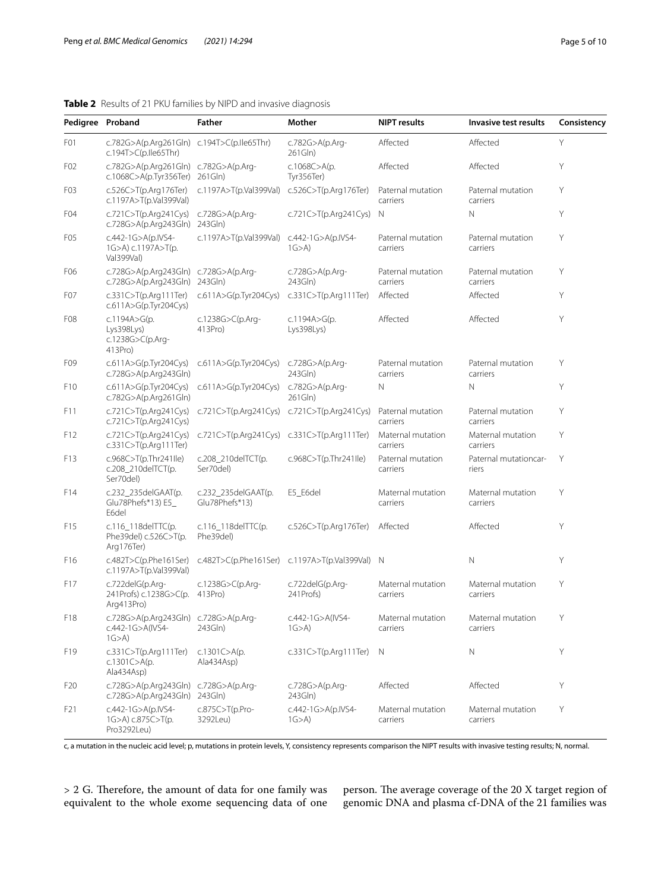### <span id="page-4-0"></span>**Table 2** Results of 21 PKU families by NIPD and invasive diagnosis

|                  | Pedigree Proband                                                    | <b>Father</b>                         | Mother                                         | <b>NIPT</b> results           | Invasive test results          | Consistency |  |
|------------------|---------------------------------------------------------------------|---------------------------------------|------------------------------------------------|-------------------------------|--------------------------------|-------------|--|
| F <sub>0</sub> 1 | c.782G>A(p.Arg261Gln) c.194T>C(p.Ile65Thr)<br>c.194T>C(p.Ile65Thr)  |                                       | c.782G>A(p.Arg-<br>261Gln)                     | Affected                      | Affected                       | Υ           |  |
| F <sub>02</sub>  | c.782G>A(p.Arg261Gln) c.782G>A(p.Arg-<br>c.1068C>A(p.Tyr356Ter)     | 261G <sub>ln</sub>                    | c.1068C>A(p.<br>Tyr356Ter)                     | Affected                      | Affected                       | Υ           |  |
| F <sub>0</sub> 3 | c.526C>T(p.Arg176Ter)<br>c.1197A>T(p.Val399Val)                     | c.1197A>T(p.Val399Val)                | c.526C>T(p.Arg176Ter)                          | Paternal mutation<br>carriers | Paternal mutation<br>carriers  | Υ           |  |
| F <sub>04</sub>  | c.721C>T(p.Arg241Cys)<br>c.728G>A(p.Arg243Gln)                      | c.728G>A(p.Arg-<br>243Gln)            | c.721C>T(p.Arg241Cys)                          | N                             | $\mathbb N$                    | Υ           |  |
| F <sub>05</sub>  | c.442-1G>A(p.IVS4-<br>1G>A) c.1197A>T(p.<br>Val399Val)              | c.1197A>T(p.Val399Val)                | c.442-1G>A(p.IVS4-<br>1G > A                   | Paternal mutation<br>carriers | Paternal mutation<br>carriers  | Υ           |  |
| F06              | c.728G>A(p.Arg243Gln)<br>c.728G>A(p.Arg243Gln)                      | c.728G>A(p.Arg-<br>243Gln)            | c.728G>A(p.Arg-<br>243Gln)                     | Paternal mutation<br>carriers | Paternal mutation<br>carriers  | Υ           |  |
| F <sub>0</sub> 7 | c.331C>T(p.Arg111Ter)<br>c.611A>G(p.Tyr204Cys)                      | c.611A>G(p.Tyr204Cys)                 | c.331C>T(p.Arg111Ter)                          | Affected                      | Affected                       | Y           |  |
| F <sub>08</sub>  | c.1194A>G(p.<br>Lys398Lys<br>c.1238G>C(p.Arg-<br>$413$ Pro $)$      | c.1238G>C(p.Arg-<br>413Pro)           | c.1194A>G(p.<br>Lys398Lys)                     | Affected                      | Affected                       | Y           |  |
| F09              | c.611A>G(p.Tyr204Cys)<br>c.728G>A(p.Arg243Gln)                      | c.611A > G(p.Tyr204Cys)               | c.728G>A(p.Arg-<br>243Gln)                     | Paternal mutation<br>carriers | Paternal mutation<br>carriers  | Y           |  |
| F <sub>10</sub>  | c.611A>G(p.Tyr204Cys)<br>c.782G>A(p.Arg261Gln)                      | c.611A>G(p.Tyr204Cys)                 | c.782G>A(p.Arg-<br>261Gln)                     | N                             | $\mathbb N$                    | Y           |  |
| F11              | c.721 $C > T(p.Arq241Cys)$<br>c.721C>T(p.Arg241Cys)                 | c.721C>T(p.Arg241Cys)                 | c.721C>T(p.Arg241Cys)                          | Paternal mutation<br>carriers | Paternal mutation<br>carriers  | Y           |  |
| F12              | c.721 $C > T(p.Arq241Cys)$<br>c.331C>T(p.Arg111Ter)                 |                                       | c.721C>T(p.Arg241Cys) c.331C>T(p.Arg111Ter)    | Maternal mutation<br>carriers | Maternal mutation<br>carriers  | Y           |  |
| F13              | c.968C>T(p.Thr241Ile)<br>c.208_210delTCT(p.<br>Ser70del)            | c.208_210delTCT(p.<br>Ser70del)       | c.968C>T(p.Thr241Ile)                          | Paternal mutation<br>carriers | Paternal mutationcar-<br>riers | Y           |  |
| F14              | c.232_235delGAAT(p.<br>Glu78Phefs*13) E5_<br>E6del                  | c.232_235delGAAT(p.<br>Glu78Phefs*13) | E5_E6del                                       | Maternal mutation<br>carriers | Maternal mutation<br>carriers  | Y           |  |
| F15              | c.116_118delTTC(p.<br>Phe39del) c.526C>T(p.<br>Arg176Ter)           | c.116_118delTTC(p.<br>Phe39del)       | c.526C>T(p.Arg176Ter)                          | Affected                      | Affected                       | Y           |  |
| F16              | c.482T>C(p.Phe161Ser)<br>c.1197A>T(p.Val399Val)                     |                                       | c.482T>C(p.Phe161Ser) c.1197A>T(p.Val399Val) N |                               | $\mathbb N$                    | Y           |  |
| F17              | c.722delG(p.Arg-<br>241 Profs) c.1238 G > C(p.<br>Arg413Pro)        | c.1238G>C(p.Arg-<br>413Pro)           | c.722delG(p.Arg-<br>241 Profs)                 | Maternal mutation<br>carriers | Maternal mutation<br>carriers  | Υ           |  |
| F18              | c.728G>A(p.Arg243Gln) c.728G>A(p.Arg-<br>c.442-1G>A(IVS4-<br>1G > A | 243Gln)                               | c.442-1G>A(IVS4-<br>1G > A                     | Maternal mutation<br>carriers | Maternal mutation<br>carriers  | Υ           |  |
| F19              | c.331C>T(p.Arg111Ter)<br>c.1301C>A(p.<br>Ala434Asp)                 | c.1301C>A(p.<br>Ala434Asp)            | c.331C>T(p.Arg111Ter)                          | N                             | $\mathsf{N}$                   | Y           |  |
| F <sub>20</sub>  | c.728G>A(p.Arg243Gln) c.728G>A(p.Arg-<br>c.728G>A(p.Arg243Gln)      | 243Gln)                               | c.728G>A(p.Arg-<br>243Gln)                     | Affected                      | Affected                       | Y           |  |
| F21              | c.442-1G>A(p.IVS4-<br>1G>A) c.875C>T(p.<br>Pro3292Leu)              | $c.875C > T(p.Pro-$<br>3292Leu)       | c.442-1G>A(p.IVS4-<br>1G > A                   | Maternal mutation<br>carriers | Maternal mutation<br>carriers  | Υ           |  |

c, a mutation in the nucleic acid level; p, mutations in protein levels, Y, consistency represents comparison the NIPT results with invasive testing results; N, normal.

> 2 G. Therefore, the amount of data for one family was equivalent to the whole exome sequencing data of one person. The average coverage of the 20 X target region of genomic DNA and plasma cf-DNA of the 21 families was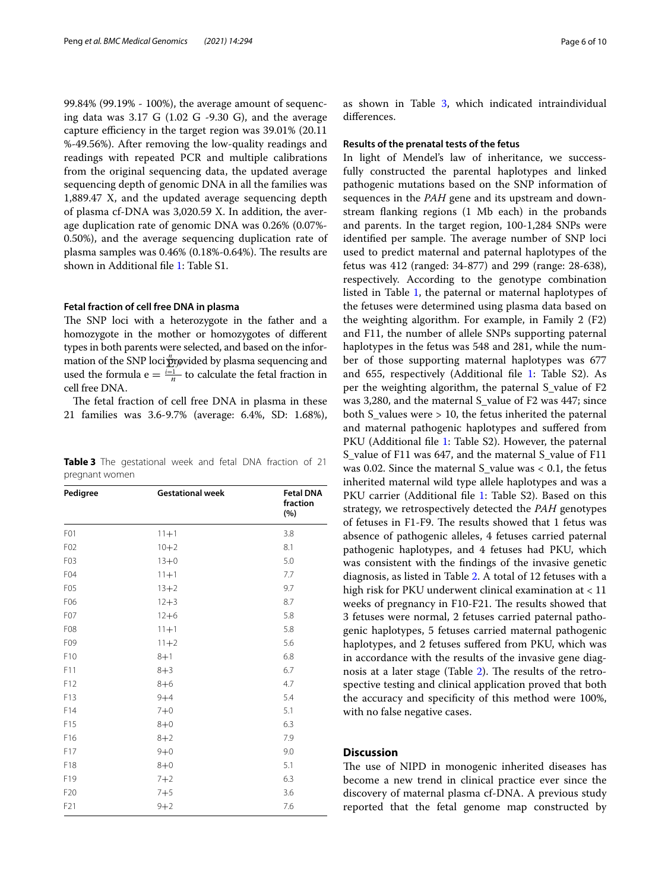99.84% (99.19% - 100%), the average amount of sequencing data was 3.17 G (1.02 G -9.30 G), and the average capture efficiency in the target region was  $39.01\%$  (20.11) %-49.56%). After removing the low-quality readings and readings with repeated PCR and multiple calibrations from the original sequencing data, the updated average sequencing depth of genomic DNA in all the families was 1,889.47 X, and the updated average sequencing depth of plasma cf-DNA was 3,020.59 X. In addition, the average duplication rate of genomic DNA was 0.26% (0.07%- 0.50%), and the average sequencing duplication rate of plasma samples was  $0.46\%$  (0.18%-0.64%). The results are shown in Additional fle [1:](#page-8-14) Table S1.

#### **Fetal fraction of cell free DNA in plasma**

The SNP loci with a heterozygote in the father and a homozygote in the mother or homozygotes of diferent types in both parents were selected, and based on the information of the SNP loci $\stackrel{n}{\Sigma}$  provided by plasma sequencing and used the formula  $e = \frac{i-1}{n}$  to calculate the fetal fraction in cell free DNA.

The fetal fraction of cell free DNA in plasma in these 21 families was 3.6-9.7% (average: 6.4%, SD: 1.68%),

<span id="page-5-0"></span>

|                | Table 3 The gestational week and fetal DNA fraction of 21 |  |  |  |  |
|----------------|-----------------------------------------------------------|--|--|--|--|
| pregnant women |                                                           |  |  |  |  |

| Pedigree         | <b>Gestational week</b> | <b>Fetal DNA</b><br>fraction<br>(%) |
|------------------|-------------------------|-------------------------------------|
| F <sub>0</sub> 1 | $11 + 1$                | 3.8                                 |
| F <sub>02</sub>  | $10 + 2$                | 8.1                                 |
| F <sub>0</sub> 3 | $13 + 0$                | 5.0                                 |
| F <sub>04</sub>  | $11 + 1$                | 7.7                                 |
| F <sub>05</sub>  | $13 + 2$                | 9.7                                 |
| F06              | $12 + 3$                | 8.7                                 |
| F <sub>0</sub> 7 | $12 + 6$                | 5.8                                 |
| F <sub>08</sub>  | $11 + 1$                | 5.8                                 |
| F09              | $11 + 2$                | 5.6                                 |
| F10              | $8 + 1$                 | 6.8                                 |
| F11              | $8 + 3$                 | 6.7                                 |
| F12              | $8 + 6$                 | 4.7                                 |
| F13              | $9 + 4$                 | 5.4                                 |
| F14              | $7 + 0$                 | 5.1                                 |
| F15              | $8 + 0$                 | 6.3                                 |
| F16              | $8 + 2$                 | 7.9                                 |
| F17              | $9 + 0$                 | 9.0                                 |
| F18              | $8 + 0$                 | 5.1                                 |
| F19              | $7 + 2$                 | 6.3                                 |
| F <sub>20</sub>  | $7 + 5$                 | 3.6                                 |
| F21              | $9 + 2$                 | 7.6                                 |

as shown in Table [3,](#page-5-0) which indicated intraindividual diferences.

#### **Results of the prenatal tests of the fetus**

In light of Mendel's law of inheritance, we successfully constructed the parental haplotypes and linked pathogenic mutations based on the SNP information of sequences in the *PAH* gene and its upstream and downstream fanking regions (1 Mb each) in the probands and parents. In the target region, 100-1,284 SNPs were identified per sample. The average number of SNP loci used to predict maternal and paternal haplotypes of the fetus was 412 (ranged: 34-877) and 299 (range: 28-638), respectively. According to the genotype combination listed in Table [1,](#page-3-0) the paternal or maternal haplotypes of the fetuses were determined using plasma data based on the weighting algorithm. For example, in Family 2 (F2) and F11, the number of allele SNPs supporting paternal haplotypes in the fetus was 548 and 281, while the number of those supporting maternal haplotypes was 677 and 655, respectively (Additional file [1](#page-8-14): Table S2). As per the weighting algorithm, the paternal S\_value of F2 was 3,280, and the maternal S\_value of F2 was 447; since both S\_values were > 10, the fetus inherited the paternal and maternal pathogenic haplotypes and sufered from PKU (Additional file [1:](#page-8-14) Table S2). However, the paternal S\_value of F11 was 647, and the maternal S\_value of F11 was 0.02. Since the maternal S value was  $< 0.1$ , the fetus inherited maternal wild type allele haplotypes and was a PKU carrier (Additional file [1](#page-8-14): Table S2). Based on this strategy, we retrospectively detected the *PAH* genotypes of fetuses in F1-F9. The results showed that 1 fetus was absence of pathogenic alleles, 4 fetuses carried paternal pathogenic haplotypes, and 4 fetuses had PKU, which was consistent with the fndings of the invasive genetic diagnosis, as listed in Table [2.](#page-4-0) A total of 12 fetuses with a high risk for PKU underwent clinical examination at < 11 weeks of pregnancy in F10-F21. The results showed that 3 fetuses were normal, 2 fetuses carried paternal pathogenic haplotypes, 5 fetuses carried maternal pathogenic haplotypes, and 2 fetuses sufered from PKU, which was in accordance with the results of the invasive gene diag-nosis at a later stage (Table [2](#page-4-0)). The results of the retrospective testing and clinical application proved that both the accuracy and specifcity of this method were 100%, with no false negative cases.

#### **Discussion**

The use of NIPD in monogenic inherited diseases has become a new trend in clinical practice ever since the discovery of maternal plasma cf-DNA. A previous study reported that the fetal genome map constructed by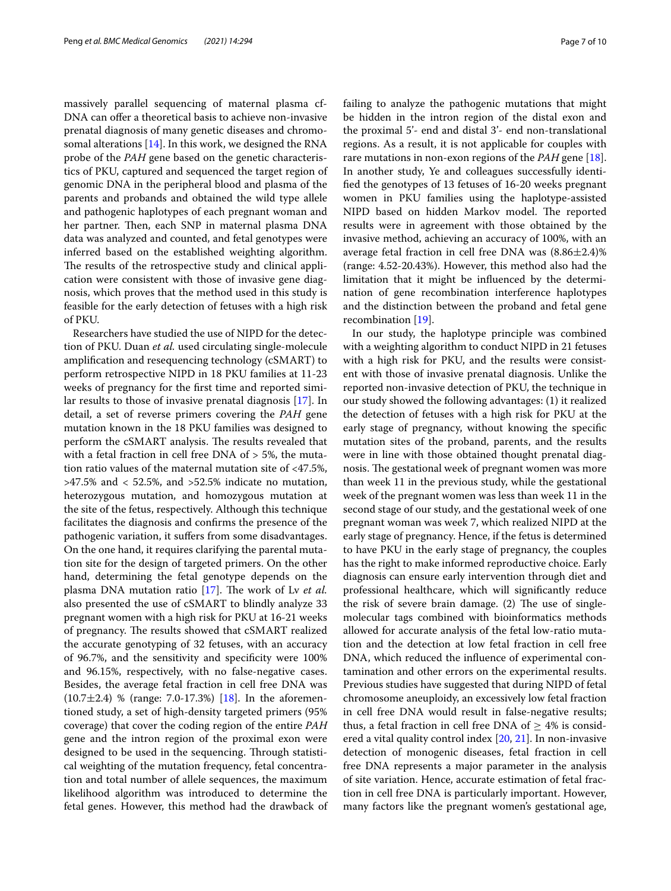massively parallel sequencing of maternal plasma cf-DNA can offer a theoretical basis to achieve non-invasive prenatal diagnosis of many genetic diseases and chromosomal alterations  $[14]$  $[14]$  $[14]$ . In this work, we designed the RNA probe of the *PAH* gene based on the genetic characteristics of PKU, captured and sequenced the target region of genomic DNA in the peripheral blood and plasma of the parents and probands and obtained the wild type allele and pathogenic haplotypes of each pregnant woman and her partner. Then, each SNP in maternal plasma DNA data was analyzed and counted, and fetal genotypes were inferred based on the established weighting algorithm. The results of the retrospective study and clinical application were consistent with those of invasive gene diagnosis, which proves that the method used in this study is feasible for the early detection of fetuses with a high risk of PKU.

Researchers have studied the use of NIPD for the detection of PKU. Duan *et al.* used circulating single-molecule amplifcation and resequencing technology (cSMART) to perform retrospective NIPD in 18 PKU families at 11-23 weeks of pregnancy for the frst time and reported similar results to those of invasive prenatal diagnosis [[17\]](#page-8-15). In detail, a set of reverse primers covering the *PAH* gene mutation known in the 18 PKU families was designed to perform the cSMART analysis. The results revealed that with a fetal fraction in cell free DNA of > 5%, the mutation ratio values of the maternal mutation site of <47.5%, >47.5% and < 52.5%, and >52.5% indicate no mutation, heterozygous mutation, and homozygous mutation at the site of the fetus, respectively. Although this technique facilitates the diagnosis and confrms the presence of the pathogenic variation, it sufers from some disadvantages. On the one hand, it requires clarifying the parental mutation site for the design of targeted primers. On the other hand, determining the fetal genotype depends on the plasma DNA mutation ratio [[17\]](#page-8-15). The work of Lv *et al.* also presented the use of cSMART to blindly analyze 33 pregnant women with a high risk for PKU at 16-21 weeks of pregnancy. The results showed that cSMART realized the accurate genotyping of 32 fetuses, with an accuracy of 96.7%, and the sensitivity and specifcity were 100% and 96.15%, respectively, with no false-negative cases. Besides, the average fetal fraction in cell free DNA was  $(10.7 \pm 2.4)$  % (range: 7.0-17.3%) [\[18\]](#page-8-16). In the aforementioned study, a set of high-density targeted primers (95% coverage) that cover the coding region of the entire *PAH* gene and the intron region of the proximal exon were designed to be used in the sequencing. Through statistical weighting of the mutation frequency, fetal concentration and total number of allele sequences, the maximum likelihood algorithm was introduced to determine the fetal genes. However, this method had the drawback of failing to analyze the pathogenic mutations that might be hidden in the intron region of the distal exon and the proximal 5'- end and distal 3'- end non-translational regions. As a result, it is not applicable for couples with rare mutations in non-exon regions of the *PAH* gene [\[18](#page-8-16)]. In another study, Ye and colleagues successfully identifed the genotypes of 13 fetuses of 16-20 weeks pregnant women in PKU families using the haplotype-assisted NIPD based on hidden Markov model. The reported results were in agreement with those obtained by the invasive method, achieving an accuracy of 100%, with an average fetal fraction in cell free DNA was  $(8.86 \pm 2.4)\%$ (range: 4.52-20.43%). However, this method also had the limitation that it might be infuenced by the determination of gene recombination interference haplotypes and the distinction between the proband and fetal gene recombination [\[19](#page-8-17)].

In our study, the haplotype principle was combined with a weighting algorithm to conduct NIPD in 21 fetuses with a high risk for PKU, and the results were consistent with those of invasive prenatal diagnosis. Unlike the reported non-invasive detection of PKU, the technique in our study showed the following advantages: (1) it realized the detection of fetuses with a high risk for PKU at the early stage of pregnancy, without knowing the specifc mutation sites of the proband, parents, and the results were in line with those obtained thought prenatal diagnosis. The gestational week of pregnant women was more than week 11 in the previous study, while the gestational week of the pregnant women was less than week 11 in the second stage of our study, and the gestational week of one pregnant woman was week 7, which realized NIPD at the early stage of pregnancy. Hence, if the fetus is determined to have PKU in the early stage of pregnancy, the couples has the right to make informed reproductive choice. Early diagnosis can ensure early intervention through diet and professional healthcare, which will signifcantly reduce the risk of severe brain damage.  $(2)$  The use of singlemolecular tags combined with bioinformatics methods allowed for accurate analysis of the fetal low-ratio mutation and the detection at low fetal fraction in cell free DNA, which reduced the infuence of experimental contamination and other errors on the experimental results. Previous studies have suggested that during NIPD of fetal chromosome aneuploidy, an excessively low fetal fraction in cell free DNA would result in false-negative results; thus, a fetal fraction in cell free DNA of  $\geq$  4% is considered a vital quality control index [[20,](#page-8-18) [21](#page-9-0)]. In non-invasive detection of monogenic diseases, fetal fraction in cell free DNA represents a major parameter in the analysis of site variation. Hence, accurate estimation of fetal fraction in cell free DNA is particularly important. However, many factors like the pregnant women's gestational age,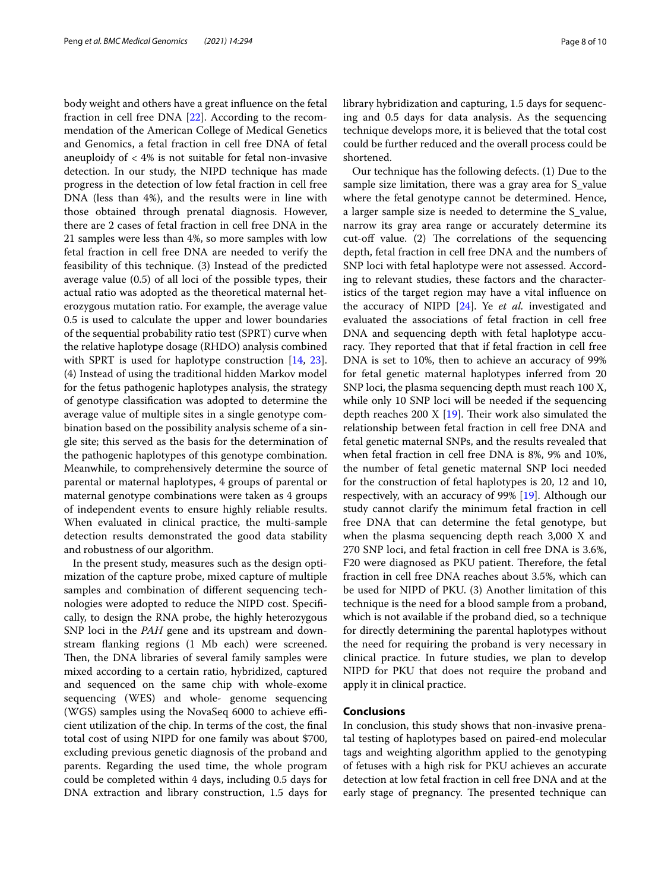body weight and others have a great infuence on the fetal fraction in cell free DNA [\[22](#page-9-1)]. According to the recommendation of the American College of Medical Genetics and Genomics, a fetal fraction in cell free DNA of fetal aneuploidy of < 4% is not suitable for fetal non-invasive detection. In our study, the NIPD technique has made progress in the detection of low fetal fraction in cell free DNA (less than 4%), and the results were in line with those obtained through prenatal diagnosis. However, there are 2 cases of fetal fraction in cell free DNA in the 21 samples were less than 4%, so more samples with low fetal fraction in cell free DNA are needed to verify the feasibility of this technique. (3) Instead of the predicted average value (0.5) of all loci of the possible types, their actual ratio was adopted as the theoretical maternal heterozygous mutation ratio. For example, the average value 0.5 is used to calculate the upper and lower boundaries of the sequential probability ratio test (SPRT) curve when the relative haplotype dosage (RHDO) analysis combined with SPRT is used for haplotype construction [\[14](#page-8-11), [23](#page-9-2)]. (4) Instead of using the traditional hidden Markov model for the fetus pathogenic haplotypes analysis, the strategy of genotype classifcation was adopted to determine the average value of multiple sites in a single genotype combination based on the possibility analysis scheme of a single site; this served as the basis for the determination of the pathogenic haplotypes of this genotype combination. Meanwhile, to comprehensively determine the source of parental or maternal haplotypes, 4 groups of parental or maternal genotype combinations were taken as 4 groups of independent events to ensure highly reliable results. When evaluated in clinical practice, the multi-sample detection results demonstrated the good data stability and robustness of our algorithm.

In the present study, measures such as the design optimization of the capture probe, mixed capture of multiple samples and combination of diferent sequencing technologies were adopted to reduce the NIPD cost. Specifcally, to design the RNA probe, the highly heterozygous SNP loci in the *PAH* gene and its upstream and downstream fanking regions (1 Mb each) were screened. Then, the DNA libraries of several family samples were mixed according to a certain ratio, hybridized, captured and sequenced on the same chip with whole-exome sequencing (WES) and whole- genome sequencing  $(WGS)$  samples using the NovaSeq 6000 to achieve efficient utilization of the chip. In terms of the cost, the fnal total cost of using NIPD for one family was about \$700, excluding previous genetic diagnosis of the proband and parents. Regarding the used time, the whole program could be completed within 4 days, including 0.5 days for DNA extraction and library construction, 1.5 days for library hybridization and capturing, 1.5 days for sequencing and 0.5 days for data analysis. As the sequencing technique develops more, it is believed that the total cost could be further reduced and the overall process could be shortened.

Our technique has the following defects. (1) Due to the sample size limitation, there was a gray area for S\_value where the fetal genotype cannot be determined. Hence, a larger sample size is needed to determine the S\_value, narrow its gray area range or accurately determine its cut-off value.  $(2)$  The correlations of the sequencing depth, fetal fraction in cell free DNA and the numbers of SNP loci with fetal haplotype were not assessed. According to relevant studies, these factors and the characteristics of the target region may have a vital infuence on the accuracy of NIPD [[24\]](#page-9-3). Ye *et al.* investigated and evaluated the associations of fetal fraction in cell free DNA and sequencing depth with fetal haplotype accuracy. They reported that that if fetal fraction in cell free DNA is set to 10%, then to achieve an accuracy of 99% for fetal genetic maternal haplotypes inferred from 20 SNP loci, the plasma sequencing depth must reach 100 X, while only 10 SNP loci will be needed if the sequencing depth reaches 200 X  $[19]$  $[19]$ . Their work also simulated the relationship between fetal fraction in cell free DNA and fetal genetic maternal SNPs, and the results revealed that when fetal fraction in cell free DNA is 8%, 9% and 10%, the number of fetal genetic maternal SNP loci needed for the construction of fetal haplotypes is 20, 12 and 10, respectively, with an accuracy of 99% [[19](#page-8-17)]. Although our study cannot clarify the minimum fetal fraction in cell free DNA that can determine the fetal genotype, but when the plasma sequencing depth reach 3,000 X and 270 SNP loci, and fetal fraction in cell free DNA is 3.6%, F20 were diagnosed as PKU patient. Therefore, the fetal fraction in cell free DNA reaches about 3.5%, which can be used for NIPD of PKU. (3) Another limitation of this technique is the need for a blood sample from a proband, which is not available if the proband died, so a technique for directly determining the parental haplotypes without the need for requiring the proband is very necessary in clinical practice. In future studies, we plan to develop NIPD for PKU that does not require the proband and apply it in clinical practice.

#### **Conclusions**

In conclusion, this study shows that non-invasive prenatal testing of haplotypes based on paired-end molecular tags and weighting algorithm applied to the genotyping of fetuses with a high risk for PKU achieves an accurate detection at low fetal fraction in cell free DNA and at the early stage of pregnancy. The presented technique can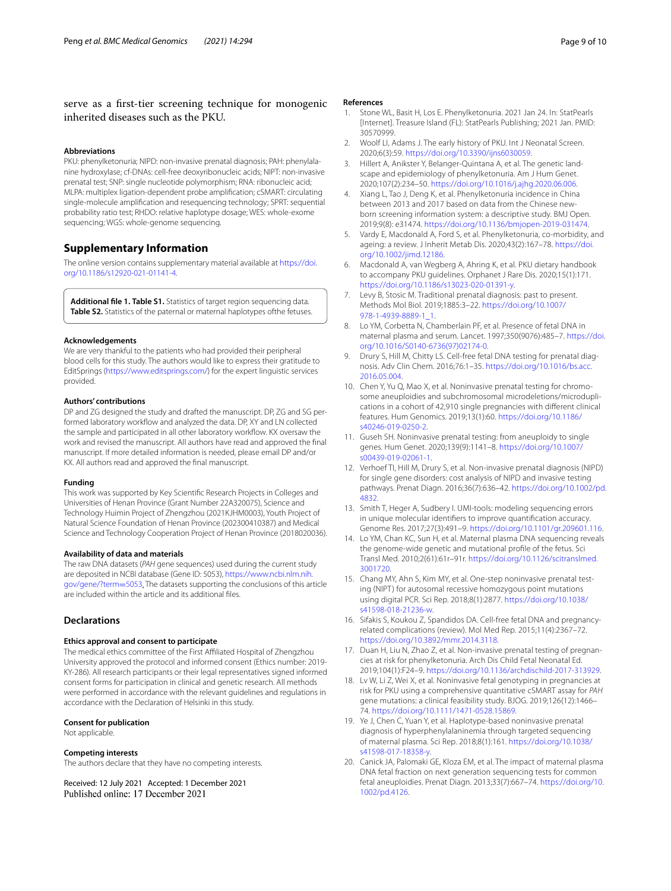#### serve as a frst-tier screening technique for monogenic inherited diseases such as the PKU.

#### **Abbreviations**

PKU: phenylketonuria; NIPD: non-invasive prenatal diagnosis; PAH: phenylalanine hydroxylase; cf-DNAs: cell-free deoxyribonucleic acids; NIPT: non-invasive prenatal test; SNP: single nucleotide polymorphism; RNA: ribonucleic acid; MLPA: multiplex ligation-dependent probe amplifcation; cSMART: circulating single-molecule amplifcation and resequencing technology; SPRT: sequential probability ratio test; RHDO: relative haplotype dosage; WES: whole-exome sequencing; WGS: whole-genome sequencing.

#### **Supplementary Information**

The online version contains supplementary material available at [https://doi.](https://doi.org/10.1186/s12920-021-01141-4) [org/10.1186/s12920-021-01141-4](https://doi.org/10.1186/s12920-021-01141-4).

<span id="page-8-14"></span>**Additional fle 1. Table S1.** Statistics of target region sequencing data. Table S2. Statistics of the paternal or maternal haplotypes of the fetuses.

#### **Acknowledgements**

We are very thankful to the patients who had provided their peripheral blood cells for this study. The authors would like to express their gratitude to EditSprings [\(https://www.editsprings.com/](https://www.editsprings.com/)) for the expert linguistic services provided.

#### **Authors' contributions**

DP and ZG designed the study and drafted the manuscript. DP, ZG and SG performed laboratory workflow and analyzed the data. DP, XY and LN collected the sample and participated in all other laboratory workfow. KX oversaw the work and revised the manuscript. All authors have read and approved the fnal manuscript. If more detailed information is needed, please email DP and/or KX. All authors read and approved the fnal manuscript.

#### **Funding**

This work was supported by Key Scientifc Research Projects in Colleges and Universities of Henan Province (Grant Number 22A320075), Science and Technology Huimin Project of Zhengzhou (2021KJHM0003), Youth Project of Natural Science Foundation of Henan Province (202300410387) and Medical Science and Technology Cooperation Project of Henan Province (2018020036).

#### **Availability of data and materials**

The raw DNA datasets (*PAH* gene sequences) used during the current study are deposited in NCBI database (Gene ID: 5053), [https://www.ncbi.nlm.nih.](https://www.ncbi.nlm.nih.gov/gene/?term=5053) [gov/gene/?term](https://www.ncbi.nlm.nih.gov/gene/?term=5053)=5053. The datasets supporting the conclusions of this article are included within the article and its additional fles.

#### **Declarations**

#### **Ethics approval and consent to participate**

The medical ethics committee of the First Afliated Hospital of Zhengzhou University approved the protocol and informed consent (Ethics number: 2019- KY-286). All research participants or their legal representatives signed informed consent forms for participation in clinical and genetic research. All methods were performed in accordance with the relevant guidelines and regulations in accordance with the Declaration of Helsinki in this study.

#### **Consent for publication**

Not applicable.

#### **Competing interests**

The authors declare that they have no competing interests.

Received: 12 July 2021 Accepted: 1 December 2021

#### **References**

- <span id="page-8-0"></span>1. Stone WL, Basit H, Los E. Phenylketonuria. 2021 Jan 24. In: StatPearls [Internet]. Treasure Island (FL): StatPearls Publishing; 2021 Jan. PMID: 30570999.
- <span id="page-8-1"></span>2. Woolf LI, Adams J. The early history of PKU. Int J Neonatal Screen. 2020;6(3):59. <https://doi.org/10.3390/ijns6030059>.
- <span id="page-8-2"></span>3. Hillert A, Anikster Y, Belanger-Quintana A, et al. The genetic landscape and epidemiology of phenylketonuria. Am J Hum Genet. 2020;107(2):234–50. [https://doi.org/10.1016/j.ajhg.2020.06.006.](https://doi.org/10.1016/j.ajhg.2020.06.006)
- <span id="page-8-3"></span>4. Xiang L, Tao J, Deng K, et al. Phenylketonuria incidence in China between 2013 and 2017 based on data from the Chinese newborn screening information system: a descriptive study. BMJ Open. 2019;9(8): e31474. [https://doi.org/10.1136/bmjopen-2019-031474.](https://doi.org/10.1136/bmjopen-2019-031474)
- <span id="page-8-4"></span>5. Vardy E, Macdonald A, Ford S, et al. Phenylketonuria, co-morbidity, and ageing: a review. J Inherit Metab Dis. 2020;43(2):167–78. [https://doi.](https://doi.org/10.1002/jimd.12186) [org/10.1002/jimd.12186.](https://doi.org/10.1002/jimd.12186)
- <span id="page-8-5"></span>6. Macdonald A, van Wegberg A, Ahring K, et al. PKU dietary handbook to accompany PKU guidelines. Orphanet J Rare Dis. 2020;15(1):171. <https://doi.org/10.1186/s13023-020-01391-y>.
- <span id="page-8-6"></span>7. Levy B, Stosic M. Traditional prenatal diagnosis: past to present. Methods Mol Biol. 2019;1885:3–22. [https://doi.org/10.1007/](https://doi.org/10.1007/978-1-4939-8889-1_1) [978-1-4939-8889-1\\_1.](https://doi.org/10.1007/978-1-4939-8889-1_1)
- <span id="page-8-7"></span>8. Lo YM, Corbetta N, Chamberlain PF, et al. Presence of fetal DNA in maternal plasma and serum. Lancet. 1997;350(9076):485–7. [https://doi.](https://doi.org/10.1016/S0140-6736(97)02174-0) [org/10.1016/S0140-6736\(97\)02174-0](https://doi.org/10.1016/S0140-6736(97)02174-0).
- 9. Drury S, Hill M, Chitty LS. Cell-free fetal DNA testing for prenatal diagnosis. Adv Clin Chem. 2016;76:1–35. [https://doi.org/10.1016/bs.acc.](https://doi.org/10.1016/bs.acc.2016.05.004) [2016.05.004](https://doi.org/10.1016/bs.acc.2016.05.004).
- 10. Chen Y, Yu Q, Mao X, et al. Noninvasive prenatal testing for chromosome aneuploidies and subchromosomal microdeletions/microduplications in a cohort of 42,910 single pregnancies with diferent clinical features. Hum Genomics. 2019;13(1):60. [https://doi.org/10.1186/](https://doi.org/10.1186/s40246-019-0250-2) [s40246-019-0250-2.](https://doi.org/10.1186/s40246-019-0250-2)
- <span id="page-8-8"></span>11. Guseh SH. Noninvasive prenatal testing: from aneuploidy to single genes. Hum Genet. 2020;139(9):1141–8. [https://doi.org/10.1007/](https://doi.org/10.1007/s00439-019-02061-1) [s00439-019-02061-1](https://doi.org/10.1007/s00439-019-02061-1).
- <span id="page-8-9"></span>12. Verhoef TI, Hill M, Drury S, et al. Non-invasive prenatal diagnosis (NIPD) for single gene disorders: cost analysis of NIPD and invasive testing pathways. Prenat Diagn. 2016;36(7):636–42. [https://doi.org/10.1002/pd.](https://doi.org/10.1002/pd.4832) [4832.](https://doi.org/10.1002/pd.4832)
- <span id="page-8-10"></span>13. Smith T, Heger A, Sudbery I. UMI-tools: modeling sequencing errors in unique molecular identifers to improve quantifcation accuracy. Genome Res. 2017;27(3):491–9. [https://doi.org/10.1101/gr.209601.116.](https://doi.org/10.1101/gr.209601.116)
- <span id="page-8-11"></span>14. Lo YM, Chan KC, Sun H, et al. Maternal plasma DNA sequencing reveals the genome-wide genetic and mutational profle of the fetus. Sci Transl Med. 2010;2(61):61r–91r. [https://doi.org/10.1126/scitranslmed.](https://doi.org/10.1126/scitranslmed.3001720) [3001720](https://doi.org/10.1126/scitranslmed.3001720).
- <span id="page-8-12"></span>15. Chang MY, Ahn S, Kim MY, et al. One-step noninvasive prenatal testing (NIPT) for autosomal recessive homozygous point mutations using digital PCR. Sci Rep. 2018;8(1):2877. [https://doi.org/10.1038/](https://doi.org/10.1038/s41598-018-21236-w) [s41598-018-21236-w.](https://doi.org/10.1038/s41598-018-21236-w)
- <span id="page-8-13"></span>16. Sifakis S, Koukou Z, Spandidos DA. Cell-free fetal DNA and pregnancyrelated complications (review). Mol Med Rep. 2015;11(4):2367–72. [https://doi.org/10.3892/mmr.2014.3118.](https://doi.org/10.3892/mmr.2014.3118)
- <span id="page-8-15"></span>17. Duan H, Liu N, Zhao Z, et al. Non-invasive prenatal testing of pregnancies at risk for phenylketonuria. Arch Dis Child Fetal Neonatal Ed. 2019;104(1):F24–9. [https://doi.org/10.1136/archdischild-2017-313929.](https://doi.org/10.1136/archdischild-2017-313929)
- <span id="page-8-16"></span>18. Lv W, Li Z, Wei X, et al. Noninvasive fetal genotyping in pregnancies at risk for PKU using a comprehensive quantitative cSMART assay for *PAH* gene mutations: a clinical feasibility study. BJOG. 2019;126(12):1466– 74.<https://doi.org/10.1111/1471-0528.15869>.
- <span id="page-8-17"></span>19. Ye J, Chen C, Yuan Y, et al. Haplotype-based noninvasive prenatal diagnosis of hyperphenylalaninemia through targeted sequencing of maternal plasma. Sci Rep. 2018;8(1):161. [https://doi.org/10.1038/](https://doi.org/10.1038/s41598-017-18358-y) [s41598-017-18358-y.](https://doi.org/10.1038/s41598-017-18358-y)
- <span id="page-8-18"></span>20. Canick JA, Palomaki GE, Kloza EM, et al. The impact of maternal plasma DNA fetal fraction on next generation sequencing tests for commor fetal aneuploidies. Prenat Diagn. 2013;33(7):667–74. [https://doi.org/10.](https://doi.org/10.1002/pd.4126) [1002/pd.4126](https://doi.org/10.1002/pd.4126).